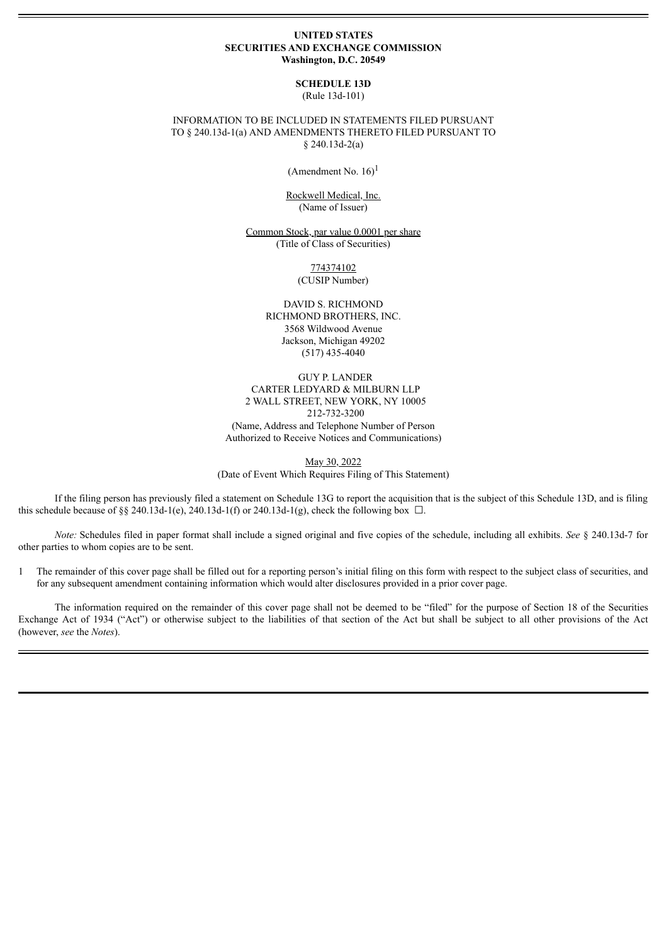#### **UNITED STATES SECURITIES AND EXCHANGE COMMISSION Washington, D.C. 20549**

# **SCHEDULE 13D**

(Rule 13d-101)

### INFORMATION TO BE INCLUDED IN STATEMENTS FILED PURSUANT TO § 240.13d-1(a) AND AMENDMENTS THERETO FILED PURSUANT TO § 240.13d-2(a)

(Amendment No.  $16$ )<sup>1</sup>

Rockwell Medical, Inc. (Name of Issuer)

Common Stock, par value 0.0001 per share (Title of Class of Securities)

> 774374102 (CUSIP Number)

DAVID S. RICHMOND RICHMOND BROTHERS, INC. 3568 Wildwood Avenue Jackson, Michigan 49202 (517) 435-4040

GUY P. LANDER CARTER LEDYARD & MILBURN LLP 2 WALL STREET, NEW YORK, NY 10005 212-732-3200 (Name, Address and Telephone Number of Person Authorized to Receive Notices and Communications)

May 30, 2022 (Date of Event Which Requires Filing of This Statement)

If the filing person has previously filed a statement on Schedule 13G to report the acquisition that is the subject of this Schedule 13D, and is filing this schedule because of §§ 240.13d-1(e), 240.13d-1(f) or 240.13d-1(g), check the following box  $\Box$ .

*Note:* Schedules filed in paper format shall include a signed original and five copies of the schedule, including all exhibits. *See* § 240.13d-7 for other parties to whom copies are to be sent.

1 The remainder of this cover page shall be filled out for a reporting person's initial filing on this form with respect to the subject class of securities, and for any subsequent amendment containing information which would alter disclosures provided in a prior cover page.

The information required on the remainder of this cover page shall not be deemed to be "filed" for the purpose of Section 18 of the Securities Exchange Act of 1934 ("Act") or otherwise subject to the liabilities of that section of the Act but shall be subject to all other provisions of the Act (however, *see* the *Notes*).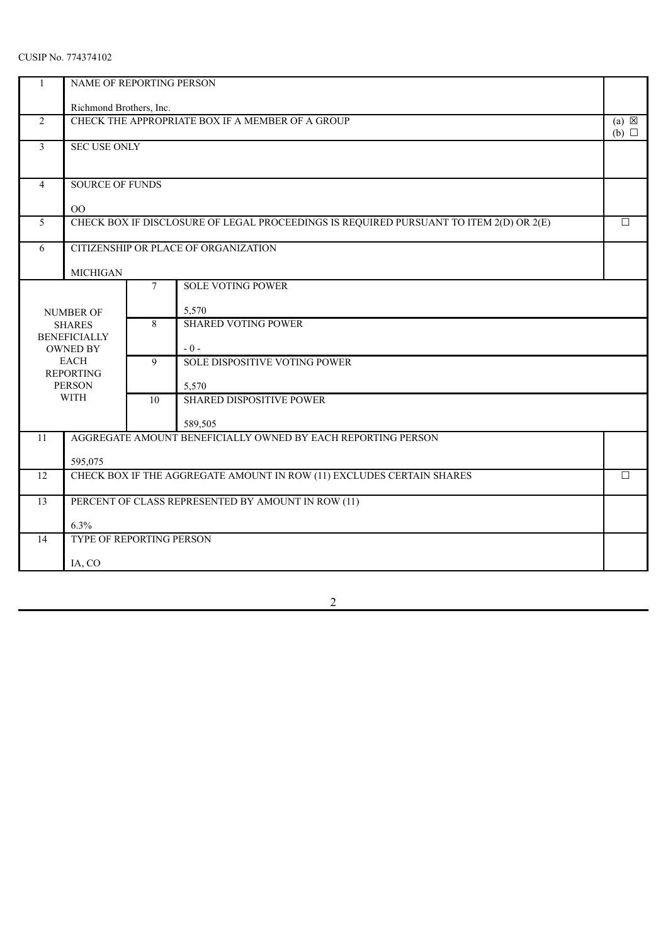| 1              | NAME OF REPORTING PERSON                                                               |                                 |                                                                                        |        |  |  |
|----------------|----------------------------------------------------------------------------------------|---------------------------------|----------------------------------------------------------------------------------------|--------|--|--|
|                | Richmond Brothers, Inc.                                                                |                                 |                                                                                        |        |  |  |
| 2              | CHECK THE APPROPRIATE BOX IF A MEMBER OF A GROUP<br>$(a) \boxtimes$<br>$(b)$ $\square$ |                                 |                                                                                        |        |  |  |
| 3              | <b>SEC USE ONLY</b>                                                                    |                                 |                                                                                        |        |  |  |
| $\overline{4}$ | <b>SOURCE OF FUNDS</b>                                                                 |                                 |                                                                                        |        |  |  |
|                | $\rm OO$                                                                               |                                 |                                                                                        |        |  |  |
| 5              |                                                                                        |                                 | CHECK BOX IF DISCLOSURE OF LEGAL PROCEEDINGS IS REQUIRED PURSUANT TO ITEM 2(D) OR 2(E) | $\Box$ |  |  |
| 6              | CITIZENSHIP OR PLACE OF ORGANIZATION                                                   |                                 |                                                                                        |        |  |  |
|                | <b>MICHIGAN</b>                                                                        |                                 |                                                                                        |        |  |  |
|                | <b>SOLE VOTING POWER</b><br>7                                                          |                                 |                                                                                        |        |  |  |
|                | <b>NUMBER OF</b>                                                                       | 5,570                           |                                                                                        |        |  |  |
|                | <b>SHARES</b><br><b>BENEFICIALLY</b>                                                   | <b>SHARED VOTING POWER</b><br>8 |                                                                                        |        |  |  |
|                | <b>OWNED BY</b>                                                                        |                                 | $-0-$                                                                                  |        |  |  |
|                | <b>EACH</b><br><b>REPORTING</b>                                                        | 9                               | SOLE DISPOSITIVE VOTING POWER                                                          |        |  |  |
|                | <b>PERSON</b>                                                                          |                                 | 5,570                                                                                  |        |  |  |
|                | <b>WITH</b>                                                                            | 10                              | <b>SHARED DISPOSITIVE POWER</b>                                                        |        |  |  |
|                |                                                                                        |                                 | 589,505                                                                                |        |  |  |
| 11             |                                                                                        |                                 | AGGREGATE AMOUNT BENEFICIALLY OWNED BY EACH REPORTING PERSON                           |        |  |  |
|                | 595,075                                                                                |                                 |                                                                                        |        |  |  |
| 12             |                                                                                        |                                 | CHECK BOX IF THE AGGREGATE AMOUNT IN ROW (11) EXCLUDES CERTAIN SHARES                  | $\Box$ |  |  |
| 13             |                                                                                        |                                 | PERCENT OF CLASS REPRESENTED BY AMOUNT IN ROW (11)                                     |        |  |  |
|                | 6.3%                                                                                   |                                 |                                                                                        |        |  |  |
| 14             | TYPE OF REPORTING PERSON                                                               |                                 |                                                                                        |        |  |  |
|                | IA, CO                                                                                 |                                 |                                                                                        |        |  |  |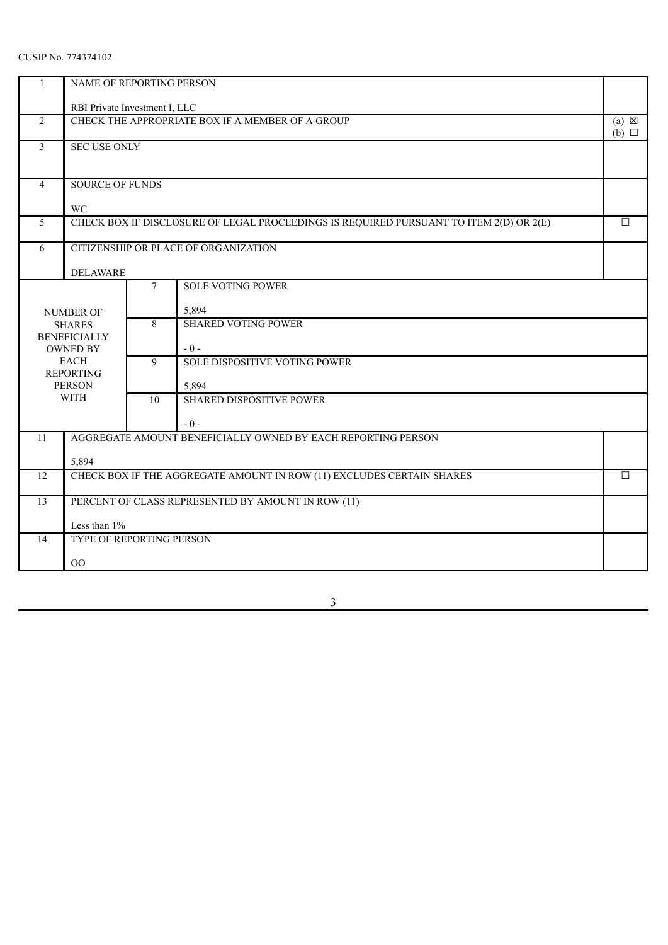| $\mathbf{1}$   | NAME OF REPORTING PERSON             |       |                                                                                        |                                    |  |  |
|----------------|--------------------------------------|-------|----------------------------------------------------------------------------------------|------------------------------------|--|--|
|                | RBI Private Investment I, LLC        |       |                                                                                        |                                    |  |  |
| 2              |                                      |       | CHECK THE APPROPRIATE BOX IF A MEMBER OF A GROUP                                       | $(a) \boxtimes$<br>$(b)$ $\square$ |  |  |
| $\mathfrak{Z}$ | <b>SEC USE ONLY</b>                  |       |                                                                                        |                                    |  |  |
| $\overline{4}$ | <b>SOURCE OF FUNDS</b>               |       |                                                                                        |                                    |  |  |
|                | <b>WC</b>                            |       |                                                                                        |                                    |  |  |
| 5              |                                      |       | CHECK BOX IF DISCLOSURE OF LEGAL PROCEEDINGS IS REQUIRED PURSUANT TO ITEM 2(D) OR 2(E) | $\Box$                             |  |  |
| 6              |                                      |       | CITIZENSHIP OR PLACE OF ORGANIZATION                                                   |                                    |  |  |
|                | <b>DELAWARE</b>                      |       |                                                                                        |                                    |  |  |
|                | <b>SOLE VOTING POWER</b><br>7        |       |                                                                                        |                                    |  |  |
|                | NUMBER OF                            | 5,894 |                                                                                        |                                    |  |  |
|                | <b>SHARES</b><br><b>BENEFICIALLY</b> | 8     | <b>SHARED VOTING POWER</b>                                                             |                                    |  |  |
|                | <b>OWNED BY</b>                      |       | $-0-$                                                                                  |                                    |  |  |
|                | <b>EACH</b><br><b>REPORTING</b>      | 9     | SOLE DISPOSITIVE VOTING POWER                                                          |                                    |  |  |
|                | <b>PERSON</b>                        |       | 5,894                                                                                  |                                    |  |  |
|                | <b>WITH</b>                          | 10    | <b>SHARED DISPOSITIVE POWER</b>                                                        |                                    |  |  |
|                |                                      |       | $-0-$                                                                                  |                                    |  |  |
| 11             |                                      |       | AGGREGATE AMOUNT BENEFICIALLY OWNED BY EACH REPORTING PERSON                           |                                    |  |  |
|                | 5,894                                |       |                                                                                        |                                    |  |  |
| 12             |                                      |       | CHECK BOX IF THE AGGREGATE AMOUNT IN ROW (11) EXCLUDES CERTAIN SHARES                  | $\Box$                             |  |  |
| 13             |                                      |       | PERCENT OF CLASS REPRESENTED BY AMOUNT IN ROW (11)                                     |                                    |  |  |
|                | Less than $1\%$                      |       |                                                                                        |                                    |  |  |
| 14             | TYPE OF REPORTING PERSON             |       |                                                                                        |                                    |  |  |
|                | O <sub>O</sub>                       |       |                                                                                        |                                    |  |  |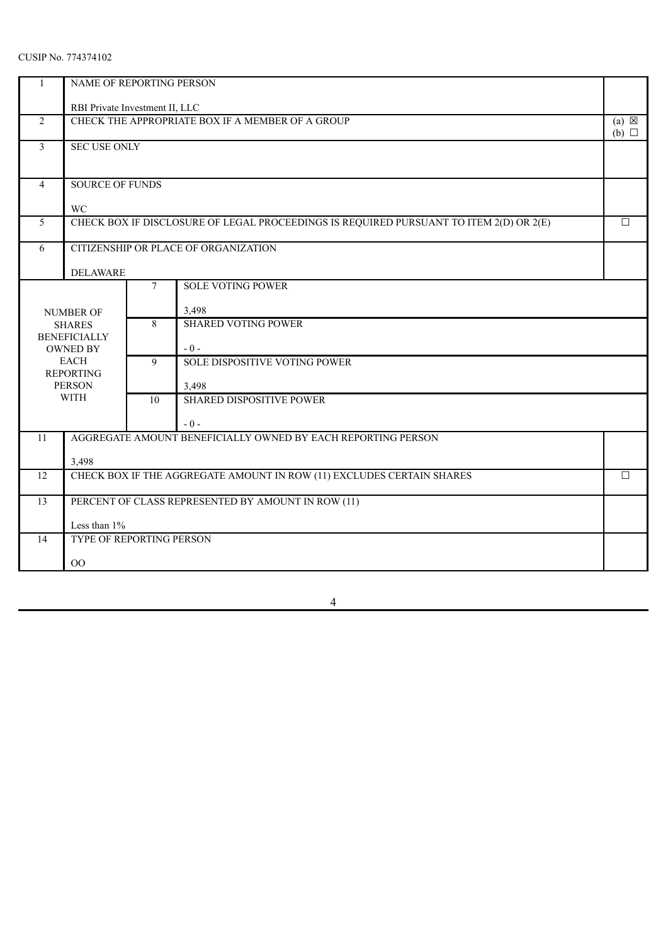| $\mathbf{1}$                  | NAME OF REPORTING PERSON                                                        |       |                                                                                        |                                    |  |  |
|-------------------------------|---------------------------------------------------------------------------------|-------|----------------------------------------------------------------------------------------|------------------------------------|--|--|
|                               | RBI Private Investment II, LLC                                                  |       |                                                                                        |                                    |  |  |
| 2                             |                                                                                 |       | CHECK THE APPROPRIATE BOX IF A MEMBER OF A GROUP                                       | $(a) \boxtimes$<br>$(b)$ $\square$ |  |  |
| $\mathfrak{Z}$                | <b>SEC USE ONLY</b>                                                             |       |                                                                                        |                                    |  |  |
| $\overline{4}$                | <b>SOURCE OF FUNDS</b>                                                          |       |                                                                                        |                                    |  |  |
|                               | <b>WC</b>                                                                       |       |                                                                                        |                                    |  |  |
| 5                             |                                                                                 |       | CHECK BOX IF DISCLOSURE OF LEGAL PROCEEDINGS IS REQUIRED PURSUANT TO ITEM 2(D) OR 2(E) | $\Box$                             |  |  |
| 6                             |                                                                                 |       | CITIZENSHIP OR PLACE OF ORGANIZATION                                                   |                                    |  |  |
|                               | <b>DELAWARE</b>                                                                 |       |                                                                                        |                                    |  |  |
| <b>SOLE VOTING POWER</b><br>7 |                                                                                 |       |                                                                                        |                                    |  |  |
|                               | NUMBER OF                                                                       | 3,498 |                                                                                        |                                    |  |  |
|                               | <b>SHARES</b>                                                                   | 8     | <b>SHARED VOTING POWER</b>                                                             |                                    |  |  |
|                               | <b>BENEFICIALLY</b><br><b>OWNED BY</b>                                          |       | $-0-$                                                                                  |                                    |  |  |
|                               | <b>EACH</b>                                                                     | 9     | SOLE DISPOSITIVE VOTING POWER                                                          |                                    |  |  |
|                               | <b>REPORTING</b><br><b>PERSON</b>                                               |       | 3,498                                                                                  |                                    |  |  |
|                               | <b>WITH</b>                                                                     | 10    | <b>SHARED DISPOSITIVE POWER</b>                                                        |                                    |  |  |
|                               |                                                                                 |       | $-0-$                                                                                  |                                    |  |  |
| 11                            |                                                                                 |       | AGGREGATE AMOUNT BENEFICIALLY OWNED BY EACH REPORTING PERSON                           |                                    |  |  |
|                               | 3,498                                                                           |       |                                                                                        |                                    |  |  |
| 12                            | CHECK BOX IF THE AGGREGATE AMOUNT IN ROW (11) EXCLUDES CERTAIN SHARES<br>$\Box$ |       |                                                                                        |                                    |  |  |
| 13                            |                                                                                 |       | PERCENT OF CLASS REPRESENTED BY AMOUNT IN ROW (11)                                     |                                    |  |  |
|                               | Less than $1\%$                                                                 |       |                                                                                        |                                    |  |  |
| 14                            | TYPE OF REPORTING PERSON                                                        |       |                                                                                        |                                    |  |  |
|                               | O <sub>O</sub>                                                                  |       |                                                                                        |                                    |  |  |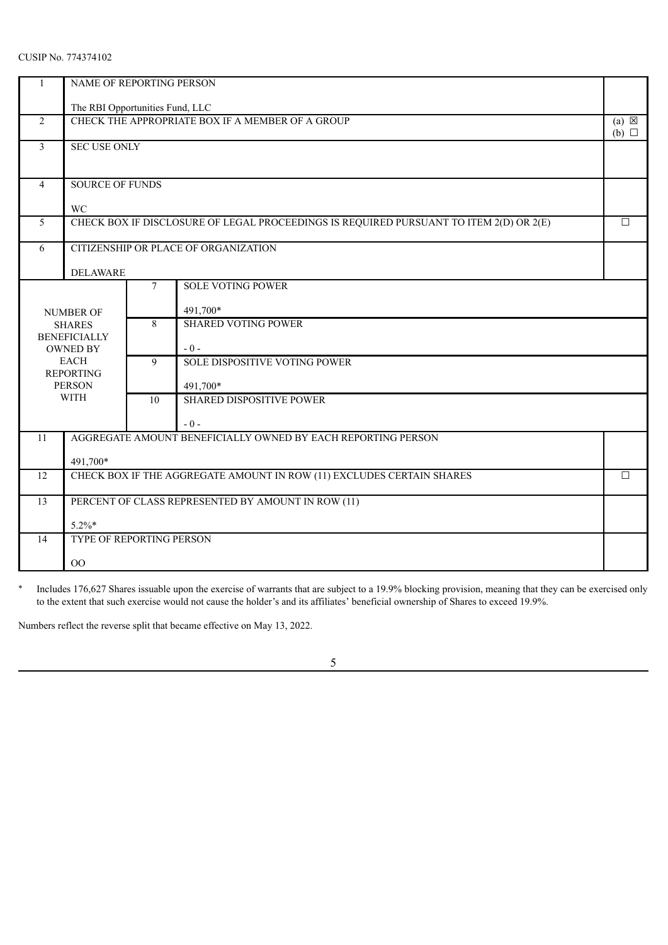| 1                                  | NAME OF REPORTING PERSON             |                                                    |                                                                                        |                 |  |  |
|------------------------------------|--------------------------------------|----------------------------------------------------|----------------------------------------------------------------------------------------|-----------------|--|--|
|                                    | The RBI Opportunities Fund, LLC      |                                                    |                                                                                        |                 |  |  |
| 2                                  |                                      |                                                    | CHECK THE APPROPRIATE BOX IF A MEMBER OF A GROUP                                       | $(a) \boxtimes$ |  |  |
| $\overline{3}$                     | <b>SEC USE ONLY</b>                  |                                                    |                                                                                        | $(b)$ $\square$ |  |  |
|                                    |                                      |                                                    |                                                                                        |                 |  |  |
| $\overline{4}$                     | <b>SOURCE OF FUNDS</b>               |                                                    |                                                                                        |                 |  |  |
|                                    |                                      |                                                    |                                                                                        |                 |  |  |
| 5                                  | WC                                   |                                                    | CHECK BOX IF DISCLOSURE OF LEGAL PROCEEDINGS IS REQUIRED PURSUANT TO ITEM 2(D) OR 2(E) | П               |  |  |
|                                    |                                      |                                                    |                                                                                        |                 |  |  |
| 6                                  |                                      |                                                    | CITIZENSHIP OR PLACE OF ORGANIZATION                                                   |                 |  |  |
|                                    | <b>DELAWARE</b>                      |                                                    |                                                                                        |                 |  |  |
| <b>SOLE VOTING POWER</b><br>$\tau$ |                                      |                                                    |                                                                                        |                 |  |  |
|                                    | <b>NUMBER OF</b>                     | 491,700*                                           |                                                                                        |                 |  |  |
|                                    | <b>SHARES</b><br><b>BENEFICIALLY</b> | <b>SHARED VOTING POWER</b><br>8                    |                                                                                        |                 |  |  |
|                                    | <b>OWNED BY</b>                      |                                                    | $-0-$                                                                                  |                 |  |  |
|                                    | <b>EACH</b><br><b>REPORTING</b>      | 9                                                  | SOLE DISPOSITIVE VOTING POWER                                                          |                 |  |  |
|                                    | <b>PERSON</b>                        |                                                    | 491,700*                                                                               |                 |  |  |
|                                    | <b>WITH</b>                          | <b>SHARED DISPOSITIVE POWER</b><br>$\overline{10}$ |                                                                                        |                 |  |  |
|                                    |                                      |                                                    | $-0-$                                                                                  |                 |  |  |
| 11                                 |                                      |                                                    | AGGREGATE AMOUNT BENEFICIALLY OWNED BY EACH REPORTING PERSON                           |                 |  |  |
|                                    | 491,700*                             |                                                    |                                                                                        |                 |  |  |
| 12                                 |                                      |                                                    | CHECK BOX IF THE AGGREGATE AMOUNT IN ROW (11) EXCLUDES CERTAIN SHARES                  | $\Box$          |  |  |
| 13                                 |                                      |                                                    | PERCENT OF CLASS REPRESENTED BY AMOUNT IN ROW (11)                                     |                 |  |  |
|                                    | $5.2\%$ *                            |                                                    |                                                                                        |                 |  |  |
| 14                                 | TYPE OF REPORTING PERSON             |                                                    |                                                                                        |                 |  |  |
|                                    | O <sub>O</sub>                       |                                                    |                                                                                        |                 |  |  |

\* Includes 176,627 Shares issuable upon the exercise of warrants that are subject to a 19.9% blocking provision, meaning that they can be exercised only to the extent that such exercise would not cause the holder's and its affiliates' beneficial ownership of Shares to exceed 19.9%.

Numbers reflect the reverse split that became effective on May 13, 2022.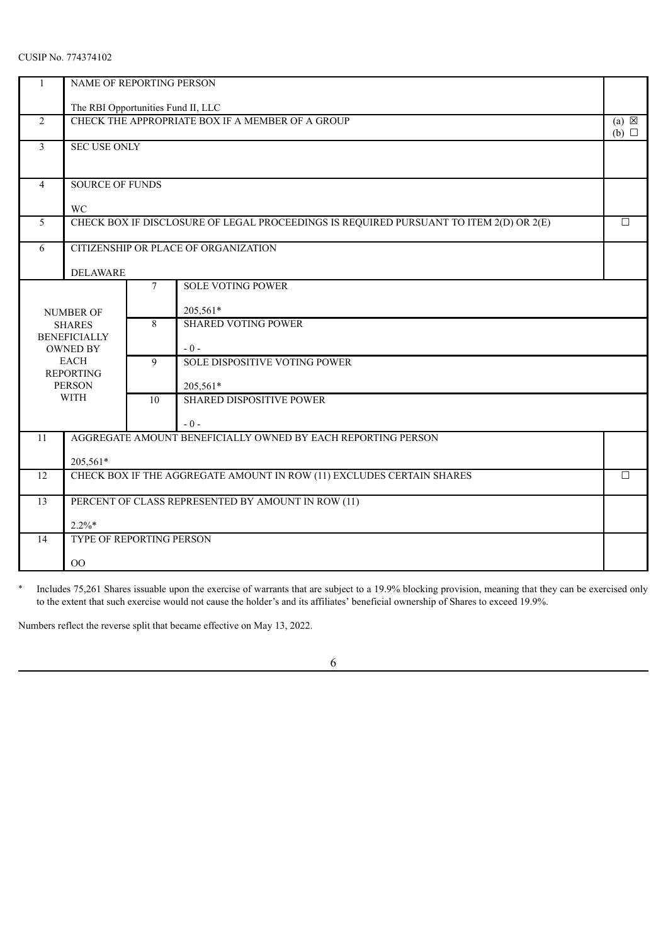|                                    | NAME OF REPORTING PERSON             |                                                    |                                                                                        |                 |  |  |  |
|------------------------------------|--------------------------------------|----------------------------------------------------|----------------------------------------------------------------------------------------|-----------------|--|--|--|
|                                    | The RBI Opportunities Fund II, LLC   |                                                    |                                                                                        |                 |  |  |  |
| 2                                  |                                      |                                                    | CHECK THE APPROPRIATE BOX IF A MEMBER OF A GROUP                                       | $(a) \boxtimes$ |  |  |  |
| $\overline{3}$                     | <b>SEC USE ONLY</b>                  |                                                    |                                                                                        | $(b)$ $\square$ |  |  |  |
|                                    |                                      |                                                    |                                                                                        |                 |  |  |  |
| $\overline{4}$                     | <b>SOURCE OF FUNDS</b>               |                                                    |                                                                                        |                 |  |  |  |
|                                    |                                      |                                                    |                                                                                        |                 |  |  |  |
| 5                                  | WC                                   |                                                    | CHECK BOX IF DISCLOSURE OF LEGAL PROCEEDINGS IS REQUIRED PURSUANT TO ITEM 2(D) OR 2(E) | П               |  |  |  |
|                                    |                                      |                                                    |                                                                                        |                 |  |  |  |
| 6                                  |                                      |                                                    | CITIZENSHIP OR PLACE OF ORGANIZATION                                                   |                 |  |  |  |
|                                    | <b>DELAWARE</b>                      |                                                    |                                                                                        |                 |  |  |  |
| <b>SOLE VOTING POWER</b><br>$\tau$ |                                      |                                                    |                                                                                        |                 |  |  |  |
|                                    | <b>NUMBER OF</b>                     | 205,561*                                           |                                                                                        |                 |  |  |  |
|                                    | <b>SHARES</b><br><b>BENEFICIALLY</b> | <b>SHARED VOTING POWER</b><br>8                    |                                                                                        |                 |  |  |  |
|                                    | <b>OWNED BY</b>                      |                                                    | $-0-$                                                                                  |                 |  |  |  |
|                                    | <b>EACH</b><br><b>REPORTING</b>      | 9                                                  | SOLE DISPOSITIVE VOTING POWER                                                          |                 |  |  |  |
|                                    | <b>PERSON</b>                        |                                                    | 205,561*                                                                               |                 |  |  |  |
|                                    | <b>WITH</b>                          | <b>SHARED DISPOSITIVE POWER</b><br>$\overline{10}$ |                                                                                        |                 |  |  |  |
|                                    |                                      |                                                    | $-0-$                                                                                  |                 |  |  |  |
| 11                                 |                                      |                                                    | AGGREGATE AMOUNT BENEFICIALLY OWNED BY EACH REPORTING PERSON                           |                 |  |  |  |
|                                    | 205,561*                             |                                                    |                                                                                        |                 |  |  |  |
| 12                                 |                                      |                                                    | CHECK BOX IF THE AGGREGATE AMOUNT IN ROW (11) EXCLUDES CERTAIN SHARES                  | $\Box$          |  |  |  |
| 13                                 |                                      |                                                    | PERCENT OF CLASS REPRESENTED BY AMOUNT IN ROW (11)                                     |                 |  |  |  |
|                                    | $2.2\%*$                             |                                                    |                                                                                        |                 |  |  |  |
| 14                                 | TYPE OF REPORTING PERSON             |                                                    |                                                                                        |                 |  |  |  |
|                                    | O <sub>O</sub>                       |                                                    |                                                                                        |                 |  |  |  |

\* Includes 75,261 Shares issuable upon the exercise of warrants that are subject to a 19.9% blocking provision, meaning that they can be exercised only to the extent that such exercise would not cause the holder's and its affiliates' beneficial ownership of Shares to exceed 19.9%.

Numbers reflect the reverse split that became effective on May 13, 2022.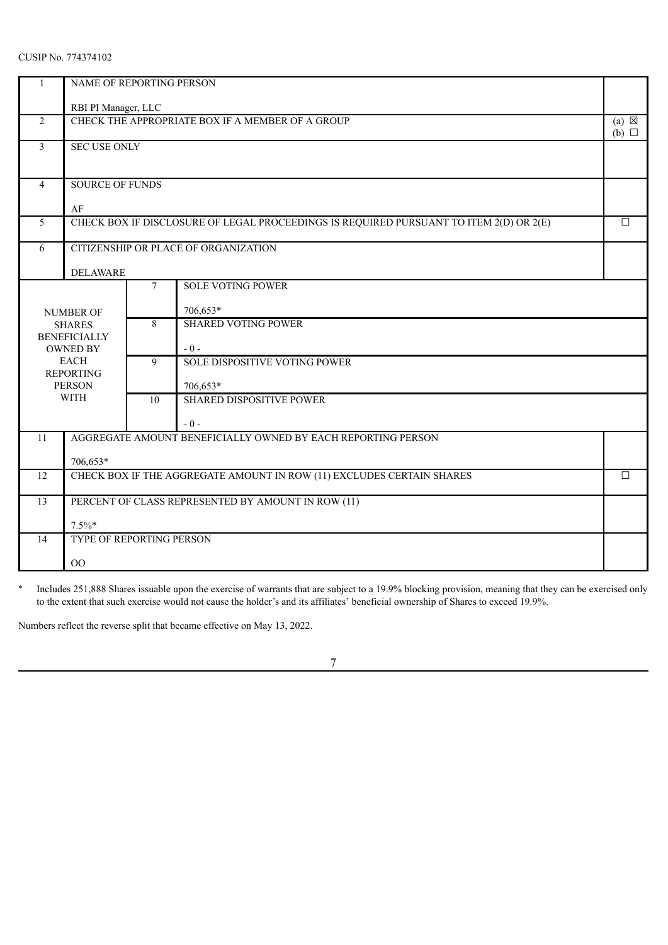| 1              | NAME OF REPORTING PERSON               |                                 |                                                                                        |                                    |  |  |  |
|----------------|----------------------------------------|---------------------------------|----------------------------------------------------------------------------------------|------------------------------------|--|--|--|
|                | RBI PI Manager, LLC                    |                                 |                                                                                        |                                    |  |  |  |
| $\overline{2}$ |                                        |                                 | CHECK THE APPROPRIATE BOX IF A MEMBER OF A GROUP                                       | $(a) \boxtimes$<br>$(b)$ $\square$ |  |  |  |
| $\overline{3}$ | <b>SEC USE ONLY</b>                    |                                 |                                                                                        |                                    |  |  |  |
|                |                                        |                                 |                                                                                        |                                    |  |  |  |
| $\overline{4}$ | <b>SOURCE OF FUNDS</b>                 |                                 |                                                                                        |                                    |  |  |  |
|                | AF                                     |                                 |                                                                                        |                                    |  |  |  |
| $\overline{5}$ |                                        |                                 | CHECK BOX IF DISCLOSURE OF LEGAL PROCEEDINGS IS REQUIRED PURSUANT TO ITEM 2(D) OR 2(E) | $\Box$                             |  |  |  |
| 6              |                                        |                                 | CITIZENSHIP OR PLACE OF ORGANIZATION                                                   |                                    |  |  |  |
|                | <b>DELAWARE</b>                        |                                 |                                                                                        |                                    |  |  |  |
|                |                                        | $\tau$                          | <b>SOLE VOTING POWER</b>                                                               |                                    |  |  |  |
|                | <b>NUMBER OF</b>                       | 706,653*                        |                                                                                        |                                    |  |  |  |
|                | <b>SHARES</b>                          | 8<br><b>SHARED VOTING POWER</b> |                                                                                        |                                    |  |  |  |
|                | <b>BENEFICIALLY</b><br><b>OWNED BY</b> |                                 | $-0-$                                                                                  |                                    |  |  |  |
|                | <b>EACH</b>                            | 9                               | SOLE DISPOSITIVE VOTING POWER                                                          |                                    |  |  |  |
|                | <b>REPORTING</b><br><b>PERSON</b>      |                                 | 706,653*                                                                               |                                    |  |  |  |
|                | <b>WITH</b>                            | $\overline{10}$                 | <b>SHARED DISPOSITIVE POWER</b>                                                        |                                    |  |  |  |
|                |                                        |                                 | $-0-$                                                                                  |                                    |  |  |  |
| 11             |                                        |                                 | AGGREGATE AMOUNT BENEFICIALLY OWNED BY EACH REPORTING PERSON                           |                                    |  |  |  |
|                | 706,653*                               |                                 |                                                                                        |                                    |  |  |  |
| 12             |                                        |                                 | CHECK BOX IF THE AGGREGATE AMOUNT IN ROW (11) EXCLUDES CERTAIN SHARES                  | $\Box$                             |  |  |  |
| 13             |                                        |                                 | PERCENT OF CLASS REPRESENTED BY AMOUNT IN ROW (11)                                     |                                    |  |  |  |
|                | $7.5\%$ *                              |                                 |                                                                                        |                                    |  |  |  |
| 14             | TYPE OF REPORTING PERSON               |                                 |                                                                                        |                                    |  |  |  |
|                | 00                                     |                                 |                                                                                        |                                    |  |  |  |

\* Includes 251,888 Shares issuable upon the exercise of warrants that are subject to a 19.9% blocking provision, meaning that they can be exercised only to the extent that such exercise would not cause the holder's and its affiliates' beneficial ownership of Shares to exceed 19.9%.

Numbers reflect the reverse split that became effective on May 13, 2022.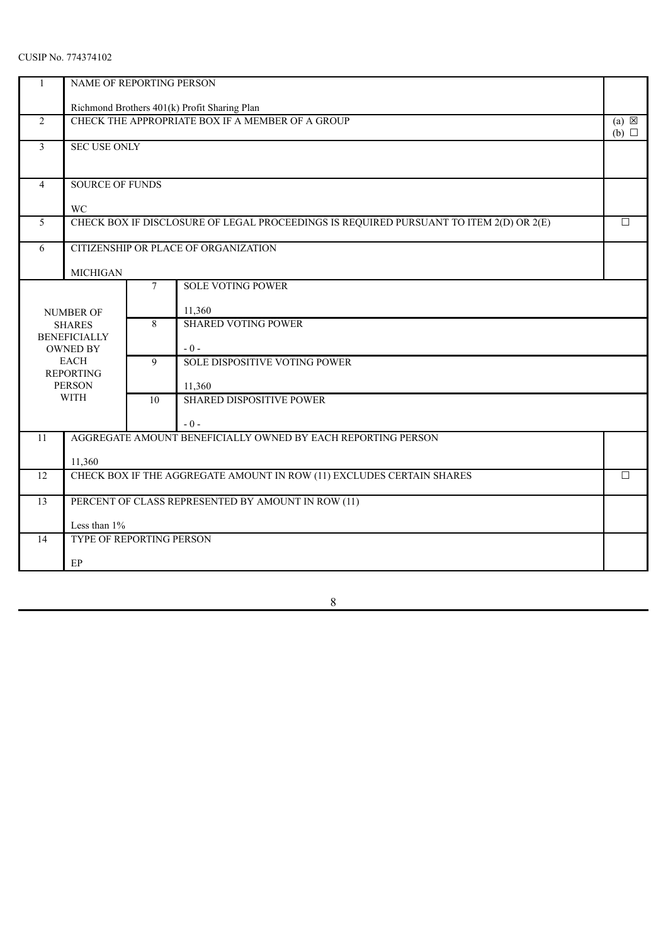| $\mathbf{1}$   | NAME OF REPORTING PERSON                                                        |                                 |                                                                                        |                                    |  |  |  |
|----------------|---------------------------------------------------------------------------------|---------------------------------|----------------------------------------------------------------------------------------|------------------------------------|--|--|--|
|                |                                                                                 |                                 | Richmond Brothers 401(k) Profit Sharing Plan                                           |                                    |  |  |  |
| 2              |                                                                                 |                                 | CHECK THE APPROPRIATE BOX IF A MEMBER OF A GROUP                                       | $(a) \boxtimes$<br>$(b)$ $\square$ |  |  |  |
| 3              | <b>SEC USE ONLY</b>                                                             |                                 |                                                                                        |                                    |  |  |  |
| $\overline{4}$ | <b>SOURCE OF FUNDS</b>                                                          |                                 |                                                                                        |                                    |  |  |  |
|                | WC                                                                              |                                 |                                                                                        |                                    |  |  |  |
| 5              |                                                                                 |                                 | CHECK BOX IF DISCLOSURE OF LEGAL PROCEEDINGS IS REQUIRED PURSUANT TO ITEM 2(D) OR 2(E) | $\Box$                             |  |  |  |
| 6              |                                                                                 |                                 | CITIZENSHIP OR PLACE OF ORGANIZATION                                                   |                                    |  |  |  |
|                | <b>MICHIGAN</b>                                                                 |                                 |                                                                                        |                                    |  |  |  |
|                | <b>SOLE VOTING POWER</b><br>7                                                   |                                 |                                                                                        |                                    |  |  |  |
|                | <b>NUMBER OF</b>                                                                |                                 | 11,360                                                                                 |                                    |  |  |  |
|                | <b>SHARES</b><br><b>BENEFICIALLY</b>                                            | <b>SHARED VOTING POWER</b><br>8 |                                                                                        |                                    |  |  |  |
|                | <b>OWNED BY</b>                                                                 |                                 | $-0-$                                                                                  |                                    |  |  |  |
|                | <b>EACH</b><br><b>REPORTING</b>                                                 | 9                               | SOLE DISPOSITIVE VOTING POWER                                                          |                                    |  |  |  |
|                | <b>PERSON</b>                                                                   |                                 | 11,360                                                                                 |                                    |  |  |  |
|                | <b>WITH</b>                                                                     | 10                              | <b>SHARED DISPOSITIVE POWER</b>                                                        |                                    |  |  |  |
|                |                                                                                 |                                 | $-0-$                                                                                  |                                    |  |  |  |
| 11             |                                                                                 |                                 | AGGREGATE AMOUNT BENEFICIALLY OWNED BY EACH REPORTING PERSON                           |                                    |  |  |  |
|                | 11,360                                                                          |                                 |                                                                                        |                                    |  |  |  |
| 12             | CHECK BOX IF THE AGGREGATE AMOUNT IN ROW (11) EXCLUDES CERTAIN SHARES<br>$\Box$ |                                 |                                                                                        |                                    |  |  |  |
| 13             |                                                                                 |                                 | PERCENT OF CLASS REPRESENTED BY AMOUNT IN ROW (11)                                     |                                    |  |  |  |
|                | Less than 1%                                                                    |                                 |                                                                                        |                                    |  |  |  |
| 14             | TYPE OF REPORTING PERSON                                                        |                                 |                                                                                        |                                    |  |  |  |
|                | EP                                                                              |                                 |                                                                                        |                                    |  |  |  |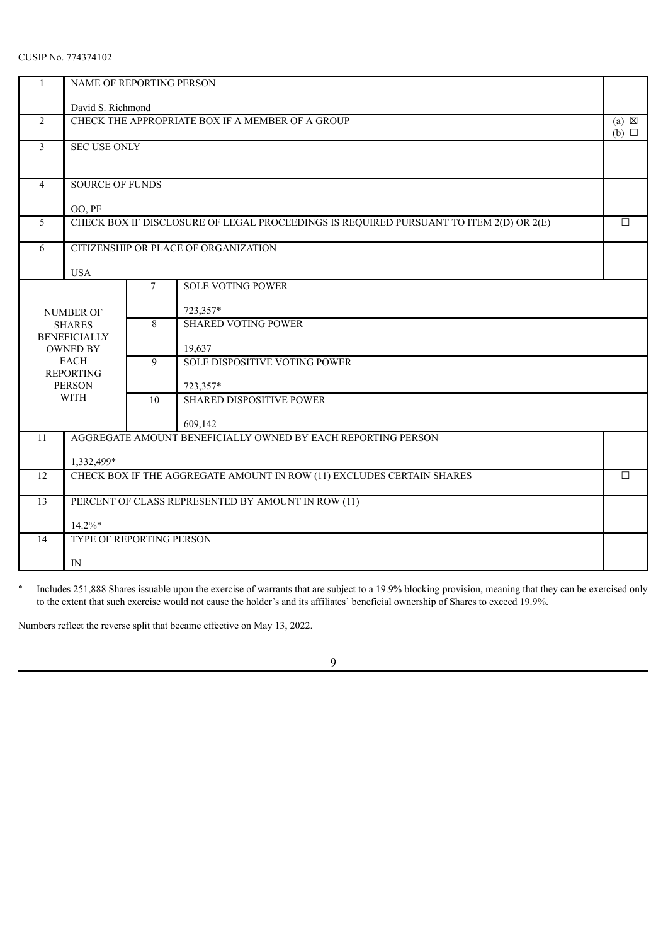| 1                                          | NAME OF REPORTING PERSON               |                                 |                                                                                        |                                    |  |  |  |
|--------------------------------------------|----------------------------------------|---------------------------------|----------------------------------------------------------------------------------------|------------------------------------|--|--|--|
|                                            | David S. Richmond                      |                                 |                                                                                        |                                    |  |  |  |
| $\overline{2}$                             |                                        |                                 | CHECK THE APPROPRIATE BOX IF A MEMBER OF A GROUP                                       | $(a) \boxtimes$<br>$(b)$ $\square$ |  |  |  |
| 3                                          | <b>SEC USE ONLY</b>                    |                                 |                                                                                        |                                    |  |  |  |
|                                            |                                        |                                 |                                                                                        |                                    |  |  |  |
| $\overline{4}$                             | <b>SOURCE OF FUNDS</b>                 |                                 |                                                                                        |                                    |  |  |  |
|                                            | OO, PF                                 |                                 |                                                                                        |                                    |  |  |  |
| 5                                          |                                        |                                 | CHECK BOX IF DISCLOSURE OF LEGAL PROCEEDINGS IS REQUIRED PURSUANT TO ITEM 2(D) OR 2(E) | $\Box$                             |  |  |  |
| 6                                          |                                        |                                 | CITIZENSHIP OR PLACE OF ORGANIZATION                                                   |                                    |  |  |  |
|                                            | <b>USA</b>                             |                                 |                                                                                        |                                    |  |  |  |
| <b>SOLE VOTING POWER</b><br>$\overline{7}$ |                                        |                                 |                                                                                        |                                    |  |  |  |
|                                            | <b>NUMBER OF</b>                       |                                 | 723,357*                                                                               |                                    |  |  |  |
|                                            | <b>SHARES</b>                          | <b>SHARED VOTING POWER</b><br>8 |                                                                                        |                                    |  |  |  |
|                                            | <b>BENEFICIALLY</b><br><b>OWNED BY</b> |                                 | 19,637                                                                                 |                                    |  |  |  |
|                                            | <b>EACH</b><br><b>REPORTING</b>        | 9                               | SOLE DISPOSITIVE VOTING POWER                                                          |                                    |  |  |  |
|                                            | <b>PERSON</b>                          |                                 | 723,357*                                                                               |                                    |  |  |  |
|                                            | <b>WITH</b>                            | 10                              | <b>SHARED DISPOSITIVE POWER</b>                                                        |                                    |  |  |  |
|                                            |                                        |                                 | 609,142                                                                                |                                    |  |  |  |
| 11                                         |                                        |                                 | AGGREGATE AMOUNT BENEFICIALLY OWNED BY EACH REPORTING PERSON                           |                                    |  |  |  |
|                                            | 1,332,499*                             |                                 |                                                                                        |                                    |  |  |  |
| 12                                         |                                        |                                 | CHECK BOX IF THE AGGREGATE AMOUNT IN ROW (11) EXCLUDES CERTAIN SHARES                  | $\Box$                             |  |  |  |
| 13                                         |                                        |                                 | PERCENT OF CLASS REPRESENTED BY AMOUNT IN ROW (11)                                     |                                    |  |  |  |
|                                            | $14.2\%*$                              |                                 |                                                                                        |                                    |  |  |  |
| 14                                         | TYPE OF REPORTING PERSON               |                                 |                                                                                        |                                    |  |  |  |
|                                            | IN                                     |                                 |                                                                                        |                                    |  |  |  |

\* Includes 251,888 Shares issuable upon the exercise of warrants that are subject to a 19.9% blocking provision, meaning that they can be exercised only to the extent that such exercise would not cause the holder's and its affiliates' beneficial ownership of Shares to exceed 19.9%.

Numbers reflect the reverse split that became effective on May 13, 2022.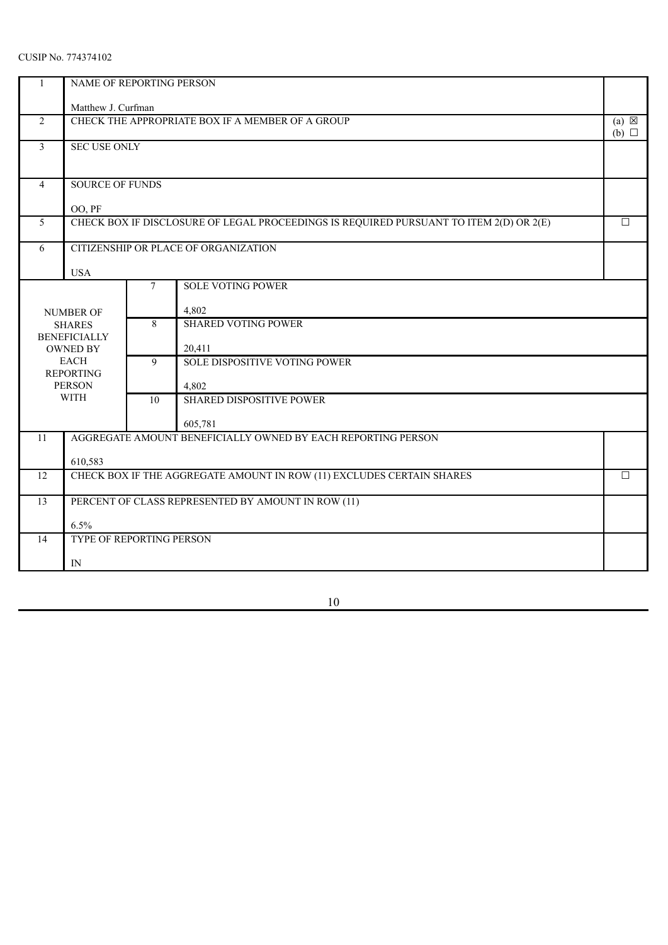| $\mathbf{1}$   | NAME OF REPORTING PERSON             |                                 |                                                                                        |                                    |  |  |  |
|----------------|--------------------------------------|---------------------------------|----------------------------------------------------------------------------------------|------------------------------------|--|--|--|
|                | Matthew J. Curfman                   |                                 |                                                                                        |                                    |  |  |  |
| $\overline{2}$ |                                      |                                 | CHECK THE APPROPRIATE BOX IF A MEMBER OF A GROUP                                       | $(a) \boxtimes$<br>$(b)$ $\square$ |  |  |  |
| $\overline{3}$ | <b>SEC USE ONLY</b>                  |                                 |                                                                                        |                                    |  |  |  |
| $\overline{4}$ | <b>SOURCE OF FUNDS</b>               |                                 |                                                                                        |                                    |  |  |  |
|                |                                      |                                 |                                                                                        |                                    |  |  |  |
| 5              | OO, PF                               |                                 | CHECK BOX IF DISCLOSURE OF LEGAL PROCEEDINGS IS REQUIRED PURSUANT TO ITEM 2(D) OR 2(E) | $\Box$                             |  |  |  |
|                |                                      |                                 |                                                                                        |                                    |  |  |  |
| 6              |                                      |                                 | CITIZENSHIP OR PLACE OF ORGANIZATION                                                   |                                    |  |  |  |
|                | <b>USA</b>                           |                                 |                                                                                        |                                    |  |  |  |
|                | <b>SOLE VOTING POWER</b><br>7        |                                 |                                                                                        |                                    |  |  |  |
|                | <b>NUMBER OF</b>                     | 4,802                           |                                                                                        |                                    |  |  |  |
|                | <b>SHARES</b><br><b>BENEFICIALLY</b> | <b>SHARED VOTING POWER</b><br>8 |                                                                                        |                                    |  |  |  |
|                | <b>OWNED BY</b>                      |                                 | 20,411                                                                                 |                                    |  |  |  |
|                | <b>EACH</b><br><b>REPORTING</b>      | 9                               | SOLE DISPOSITIVE VOTING POWER                                                          |                                    |  |  |  |
|                | <b>PERSON</b>                        |                                 | 4,802                                                                                  |                                    |  |  |  |
|                | <b>WITH</b>                          | 10                              | <b>SHARED DISPOSITIVE POWER</b>                                                        |                                    |  |  |  |
|                |                                      |                                 | 605,781                                                                                |                                    |  |  |  |
| 11             |                                      |                                 | AGGREGATE AMOUNT BENEFICIALLY OWNED BY EACH REPORTING PERSON                           |                                    |  |  |  |
|                | 610,583                              |                                 |                                                                                        |                                    |  |  |  |
| 12             |                                      |                                 | CHECK BOX IF THE AGGREGATE AMOUNT IN ROW (11) EXCLUDES CERTAIN SHARES                  | $\Box$                             |  |  |  |
| 13             |                                      |                                 | PERCENT OF CLASS REPRESENTED BY AMOUNT IN ROW (11)                                     |                                    |  |  |  |
|                | 6.5%                                 |                                 |                                                                                        |                                    |  |  |  |
| 14             | TYPE OF REPORTING PERSON             |                                 |                                                                                        |                                    |  |  |  |
|                | $\ensuremath{\text{IN}}$             |                                 |                                                                                        |                                    |  |  |  |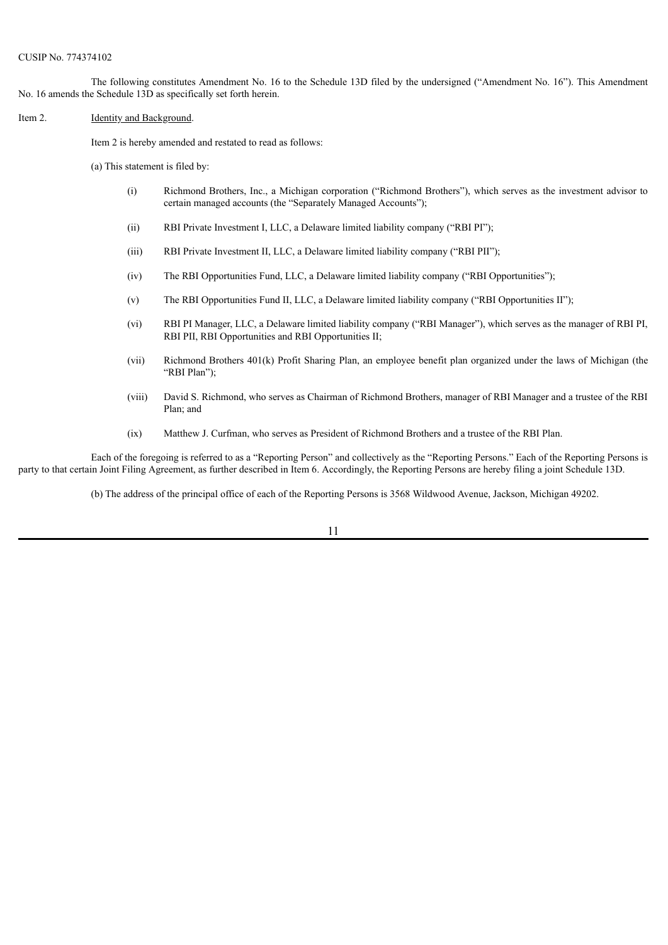The following constitutes Amendment No. 16 to the Schedule 13D filed by the undersigned ("Amendment No. 16"). This Amendment No. 16 amends the Schedule 13D as specifically set forth herein.

Item 2. **Identity and Background.** 

Item 2 is hereby amended and restated to read as follows:

(a) This statement is filed by:

- (i) Richmond Brothers, Inc., a Michigan corporation ("Richmond Brothers"), which serves as the investment advisor to certain managed accounts (the "Separately Managed Accounts");
- (ii) RBI Private Investment I, LLC, a Delaware limited liability company ("RBI PI");
- (iii) RBI Private Investment II, LLC, a Delaware limited liability company ("RBI PII");
- (iv) The RBI Opportunities Fund, LLC, a Delaware limited liability company ("RBI Opportunities");
- (v) The RBI Opportunities Fund II, LLC, a Delaware limited liability company ("RBI Opportunities II");
- (vi) RBI PI Manager, LLC, a Delaware limited liability company ("RBI Manager"), which serves as the manager of RBI PI, RBI PII, RBI Opportunities and RBI Opportunities II;
- (vii) Richmond Brothers 401(k) Profit Sharing Plan, an employee benefit plan organized under the laws of Michigan (the "RBI Plan");
- (viii) David S. Richmond, who serves as Chairman of Richmond Brothers, manager of RBI Manager and a trustee of the RBI Plan; and
- (ix) Matthew J. Curfman, who serves as President of Richmond Brothers and a trustee of the RBI Plan.

Each of the foregoing is referred to as a "Reporting Person" and collectively as the "Reporting Persons." Each of the Reporting Persons is party to that certain Joint Filing Agreement, as further described in Item 6. Accordingly, the Reporting Persons are hereby filing a joint Schedule 13D.

(b) The address of the principal office of each of the Reporting Persons is 3568 Wildwood Avenue, Jackson, Michigan 49202.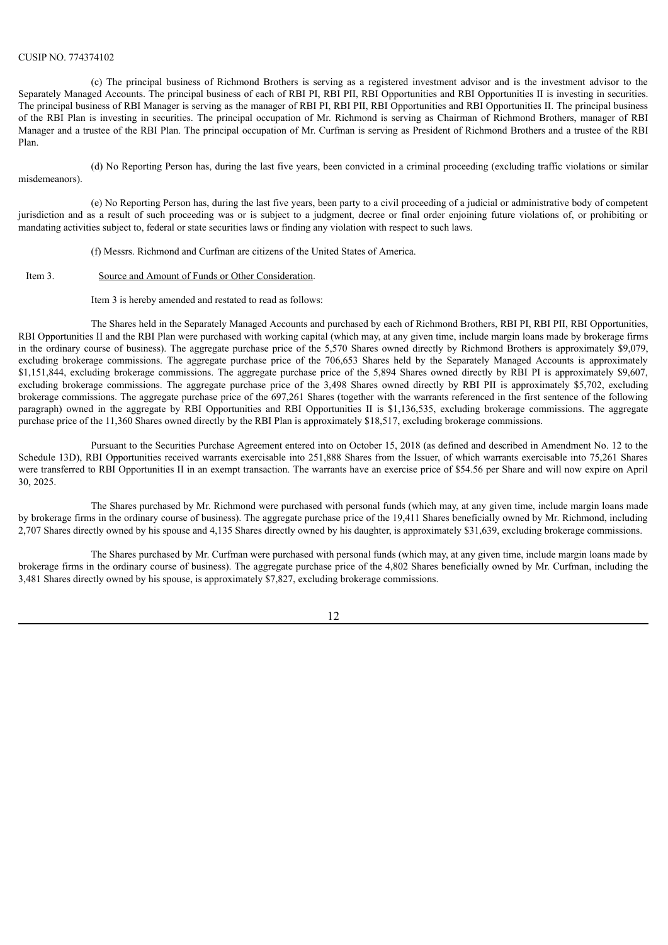#### CUSIP NO. 774374102

(c) The principal business of Richmond Brothers is serving as a registered investment advisor and is the investment advisor to the Separately Managed Accounts. The principal business of each of RBI PI, RBI PII, RBI Opportunities and RBI Opportunities II is investing in securities. The principal business of RBI Manager is serving as the manager of RBI PI, RBI PII, RBI Opportunities and RBI Opportunities II. The principal business of the RBI Plan is investing in securities. The principal occupation of Mr. Richmond is serving as Chairman of Richmond Brothers, manager of RBI Manager and a trustee of the RBI Plan. The principal occupation of Mr. Curfman is serving as President of Richmond Brothers and a trustee of the RBI Plan.

(d) No Reporting Person has, during the last five years, been convicted in a criminal proceeding (excluding traffic violations or similar misdemeanors).

(e) No Reporting Person has, during the last five years, been party to a civil proceeding of a judicial or administrative body of competent jurisdiction and as a result of such proceeding was or is subject to a judgment, decree or final order enjoining future violations of, or prohibiting or mandating activities subject to, federal or state securities laws or finding any violation with respect to such laws.

(f) Messrs. Richmond and Curfman are citizens of the United States of America.

#### Item 3. Source and Amount of Funds or Other Consideration.

Item 3 is hereby amended and restated to read as follows:

The Shares held in the Separately Managed Accounts and purchased by each of Richmond Brothers, RBI PI, RBI PII, RBI Opportunities, RBI Opportunities II and the RBI Plan were purchased with working capital (which may, at any given time, include margin loans made by brokerage firms in the ordinary course of business). The aggregate purchase price of the 5,570 Shares owned directly by Richmond Brothers is approximately \$9,079, excluding brokerage commissions. The aggregate purchase price of the 706,653 Shares held by the Separately Managed Accounts is approximately \$1,151,844, excluding brokerage commissions. The aggregate purchase price of the 5,894 Shares owned directly by RBI PI is approximately \$9,607, excluding brokerage commissions. The aggregate purchase price of the 3,498 Shares owned directly by RBI PII is approximately \$5,702, excluding brokerage commissions. The aggregate purchase price of the 697,261 Shares (together with the warrants referenced in the first sentence of the following paragraph) owned in the aggregate by RBI Opportunities and RBI Opportunities II is \$1,136,535, excluding brokerage commissions. The aggregate purchase price of the 11,360 Shares owned directly by the RBI Plan is approximately \$18,517, excluding brokerage commissions.

Pursuant to the Securities Purchase Agreement entered into on October 15, 2018 (as defined and described in Amendment No. 12 to the Schedule 13D), RBI Opportunities received warrants exercisable into 251,888 Shares from the Issuer, of which warrants exercisable into 75,261 Shares were transferred to RBI Opportunities II in an exempt transaction. The warrants have an exercise price of \$54.56 per Share and will now expire on April 30, 2025.

The Shares purchased by Mr. Richmond were purchased with personal funds (which may, at any given time, include margin loans made by brokerage firms in the ordinary course of business). The aggregate purchase price of the 19,411 Shares beneficially owned by Mr. Richmond, including 2,707 Shares directly owned by his spouse and 4,135 Shares directly owned by his daughter, is approximately \$31,639, excluding brokerage commissions.

The Shares purchased by Mr. Curfman were purchased with personal funds (which may, at any given time, include margin loans made by brokerage firms in the ordinary course of business). The aggregate purchase price of the 4,802 Shares beneficially owned by Mr. Curfman, including the 3,481 Shares directly owned by his spouse, is approximately \$7,827, excluding brokerage commissions.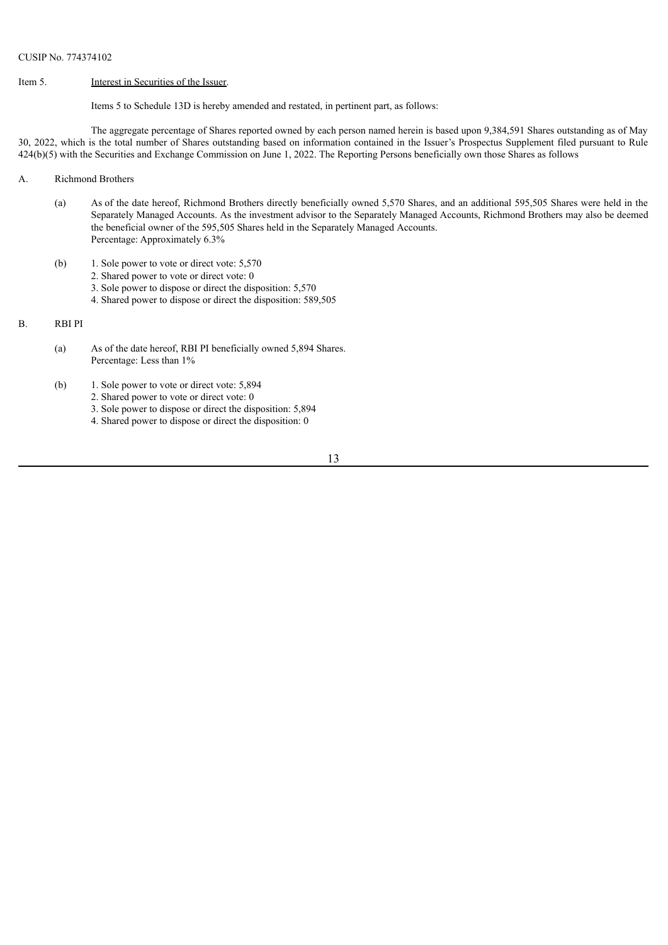#### Item 5. Interest in Securities of the Issuer.

Items 5 to Schedule 13D is hereby amended and restated, in pertinent part, as follows:

The aggregate percentage of Shares reported owned by each person named herein is based upon 9,384,591 Shares outstanding as of May 30, 2022, which is the total number of Shares outstanding based on information contained in the Issuer's Prospectus Supplement filed pursuant to Rule 424(b)(5) with the Securities and Exchange Commission on June 1, 2022. The Reporting Persons beneficially own those Shares as follows

- A. Richmond Brothers
	- (a) As of the date hereof, Richmond Brothers directly beneficially owned 5,570 Shares, and an additional 595,505 Shares were held in the Separately Managed Accounts. As the investment advisor to the Separately Managed Accounts, Richmond Brothers may also be deemed the beneficial owner of the 595,505 Shares held in the Separately Managed Accounts. Percentage: Approximately 6.3%
	- (b) 1. Sole power to vote or direct vote: 5,570
		- 2. Shared power to vote or direct vote: 0
		- 3. Sole power to dispose or direct the disposition: 5,570
		- 4. Shared power to dispose or direct the disposition: 589,505

### B. RBI PI

- (a) As of the date hereof, RBI PI beneficially owned 5,894 Shares. Percentage: Less than 1%
- (b) 1. Sole power to vote or direct vote: 5,894
	- 2. Shared power to vote or direct vote: 0
	- 3. Sole power to dispose or direct the disposition: 5,894
	- 4. Shared power to dispose or direct the disposition: 0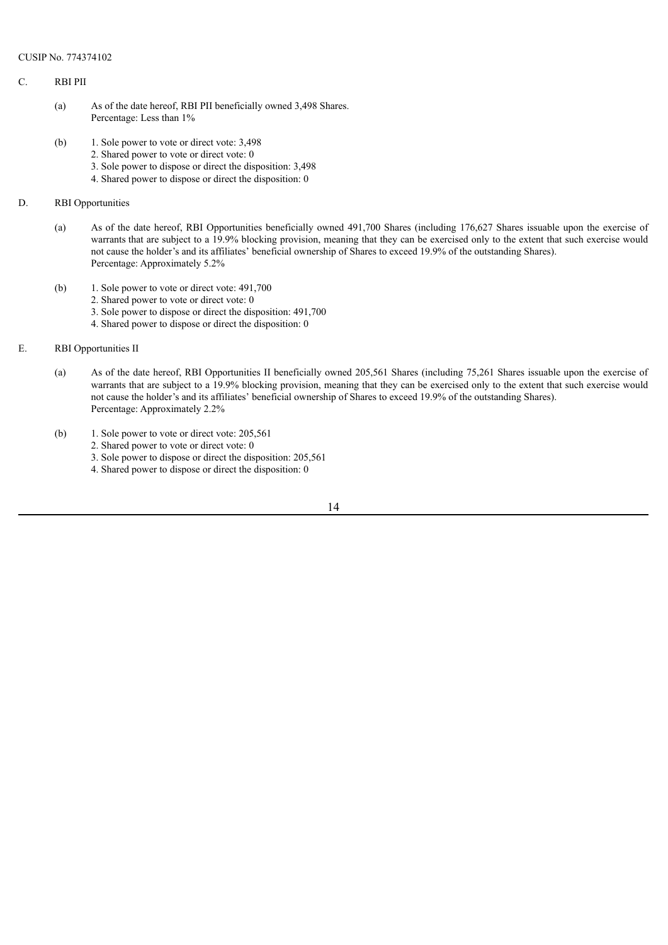### C. RBI PII

- (a) As of the date hereof, RBI PII beneficially owned 3,498 Shares. Percentage: Less than 1%
- (b) 1. Sole power to vote or direct vote: 3,498
	- 2. Shared power to vote or direct vote: 0
	- 3. Sole power to dispose or direct the disposition: 3,498
	- 4. Shared power to dispose or direct the disposition: 0

# D. RBI Opportunities

- (a) As of the date hereof, RBI Opportunities beneficially owned 491,700 Shares (including 176,627 Shares issuable upon the exercise of warrants that are subject to a 19.9% blocking provision, meaning that they can be exercised only to the extent that such exercise would not cause the holder's and its affiliates' beneficial ownership of Shares to exceed 19.9% of the outstanding Shares). Percentage: Approximately 5.2%
- (b) 1. Sole power to vote or direct vote: 491,700
	- 2. Shared power to vote or direct vote: 0
	- 3. Sole power to dispose or direct the disposition: 491,700
	- 4. Shared power to dispose or direct the disposition: 0
- E. RBI Opportunities II
	- (a) As of the date hereof, RBI Opportunities II beneficially owned 205,561 Shares (including 75,261 Shares issuable upon the exercise of warrants that are subject to a 19.9% blocking provision, meaning that they can be exercised only to the extent that such exercise would not cause the holder's and its affiliates' beneficial ownership of Shares to exceed 19.9% of the outstanding Shares). Percentage: Approximately 2.2%
	- (b) 1. Sole power to vote or direct vote: 205,561
		- 2. Shared power to vote or direct vote: 0
			- 3. Sole power to dispose or direct the disposition: 205,561
			- 4. Shared power to dispose or direct the disposition: 0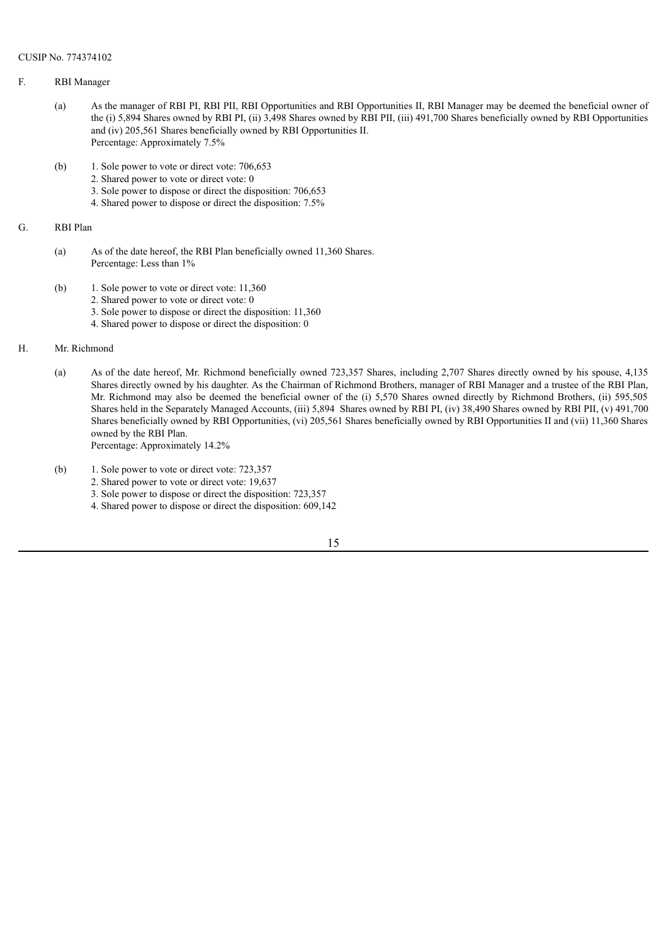### F. RBI Manager

- (a) As the manager of RBI PI, RBI PII, RBI Opportunities and RBI Opportunities II, RBI Manager may be deemed the beneficial owner of the (i) 5,894 Shares owned by RBI PI, (ii) 3,498 Shares owned by RBI PII, (iii) 491,700 Shares beneficially owned by RBI Opportunities and (iv) 205,561 Shares beneficially owned by RBI Opportunities II. Percentage: Approximately 7.5%
- (b) 1. Sole power to vote or direct vote: 706,653
	- 2. Shared power to vote or direct vote: 0
		- 3. Sole power to dispose or direct the disposition: 706,653
		- 4. Shared power to dispose or direct the disposition: 7.5%

## G. RBI Plan

- (a) As of the date hereof, the RBI Plan beneficially owned 11,360 Shares. Percentage: Less than 1%
- (b) 1. Sole power to vote or direct vote: 11,360
	- 2. Shared power to vote or direct vote: 0
	- 3. Sole power to dispose or direct the disposition: 11,360
	- 4. Shared power to dispose or direct the disposition: 0

### H. Mr. Richmond

- (a) As of the date hereof, Mr. Richmond beneficially owned 723,357 Shares, including 2,707 Shares directly owned by his spouse, 4,135 Shares directly owned by his daughter. As the Chairman of Richmond Brothers, manager of RBI Manager and a trustee of the RBI Plan, Mr. Richmond may also be deemed the beneficial owner of the (i) 5,570 Shares owned directly by Richmond Brothers, (ii) 595,505 Shares held in the Separately Managed Accounts, (iii) 5,894 Shares owned by RBI PI, (iv) 38,490 Shares owned by RBI PII, (v) 491,700 Shares beneficially owned by RBI Opportunities, (vi) 205,561 Shares beneficially owned by RBI Opportunities II and (vii) 11,360 Shares owned by the RBI Plan. Percentage: Approximately 14.2%
- (b) 1. Sole power to vote or direct vote: 723,357
	- 2. Shared power to vote or direct vote: 19,637
	- 3. Sole power to dispose or direct the disposition: 723,357
	- 4. Shared power to dispose or direct the disposition: 609,142

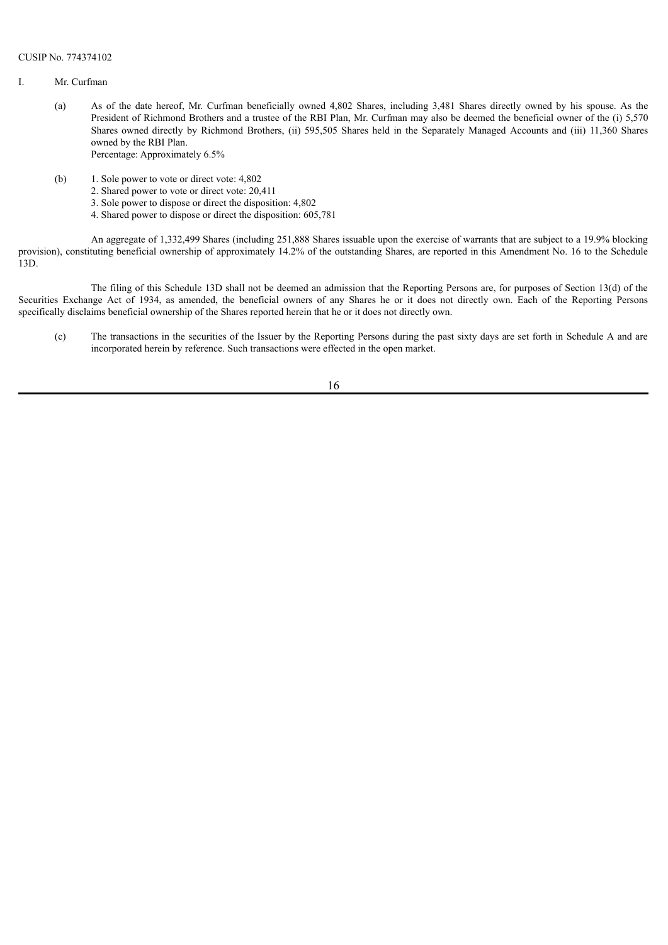- I. Mr. Curfman
	- (a) As of the date hereof, Mr. Curfman beneficially owned 4,802 Shares, including 3,481 Shares directly owned by his spouse. As the President of Richmond Brothers and a trustee of the RBI Plan, Mr. Curfman may also be deemed the beneficial owner of the (i) 5,570 Shares owned directly by Richmond Brothers, (ii) 595,505 Shares held in the Separately Managed Accounts and (iii) 11,360 Shares owned by the RBI Plan. Percentage: Approximately 6.5%
	- (b) 1. Sole power to vote or direct vote: 4,802
		- 2. Shared power to vote or direct vote: 20,411
		- 3. Sole power to dispose or direct the disposition: 4,802
		- 4. Shared power to dispose or direct the disposition: 605,781

An aggregate of 1,332,499 Shares (including 251,888 Shares issuable upon the exercise of warrants that are subject to a 19.9% blocking provision), constituting beneficial ownership of approximately 14.2% of the outstanding Shares, are reported in this Amendment No. 16 to the Schedule 13D.

The filing of this Schedule 13D shall not be deemed an admission that the Reporting Persons are, for purposes of Section 13(d) of the Securities Exchange Act of 1934, as amended, the beneficial owners of any Shares he or it does not directly own. Each of the Reporting Persons specifically disclaims beneficial ownership of the Shares reported herein that he or it does not directly own.

(c) The transactions in the securities of the Issuer by the Reporting Persons during the past sixty days are set forth in Schedule A and are incorporated herein by reference. Such transactions were effected in the open market.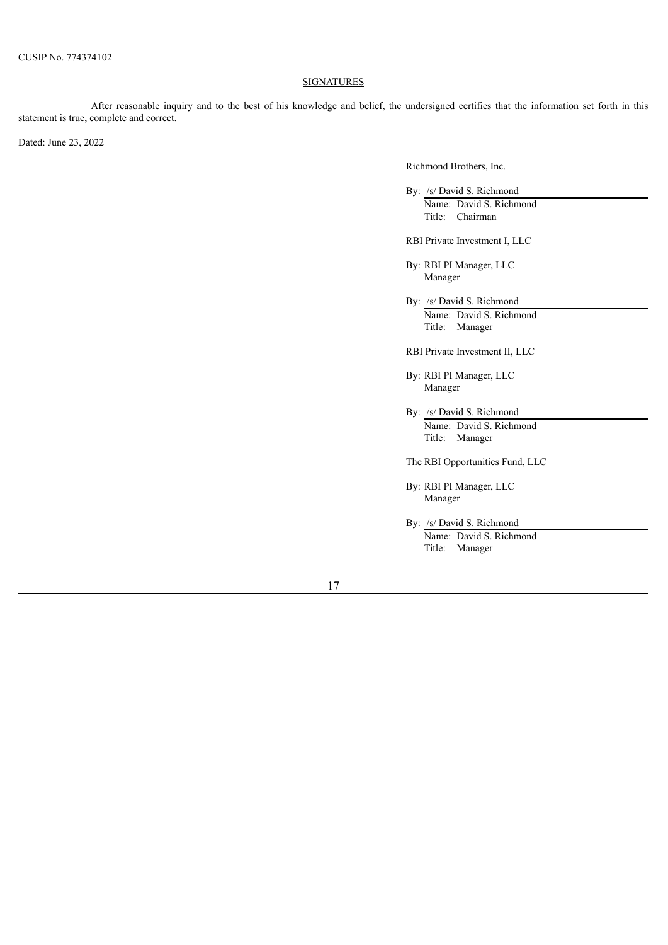## **SIGNATURES**

After reasonable inquiry and to the best of his knowledge and belief, the undersigned certifies that the information set forth in this statement is true, complete and correct.

Dated: June 23, 2022

Richmond Brothers, Inc.

By: /s/ David S. Richmond Name: David S. Richmond Title: Chairman

RBI Private Investment I, LLC

By: RBI PI Manager, LLC Manager

By: /s/ David S. Richmond Name: David S. Richmond Title: Manager

RBI Private Investment II, LLC

By: RBI PI Manager, LLC Manager

- By: /s/ David S. Richmond Name: David S. Richmond Title: Manager
- The RBI Opportunities Fund, LLC

By: RBI PI Manager, LLC Manager

By: /s/ David S. Richmond Name: David S. Richmond Title: Manager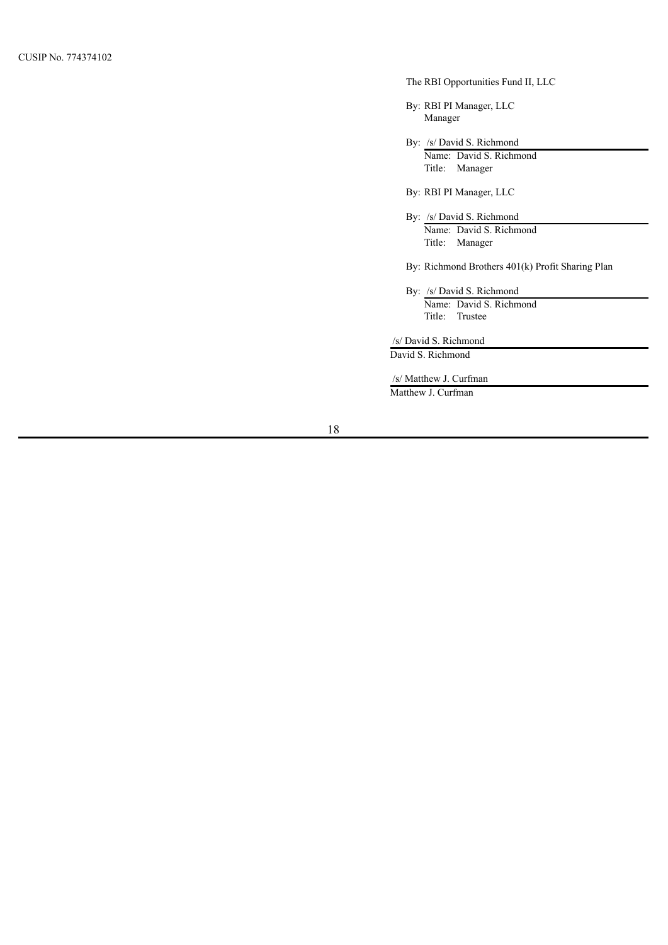## The RBI Opportunities Fund II, LLC

By: RBI PI Manager, LLC Manager

By: /s/ David S. Richmond

Name: David S. Richmond Title: Manager

By: RBI PI Manager, LLC

By: /s/ David S. Richmond Name: David S. Richmond Title: Manager

By: Richmond Brothers 401(k) Profit Sharing Plan

By: /s/ David S. Richmond Name: David S. Richmond Title: Trustee

/s/ David S. Richmond

David S. Richmond

/s/ Matthew J. Curfman Matthew J. Curfman